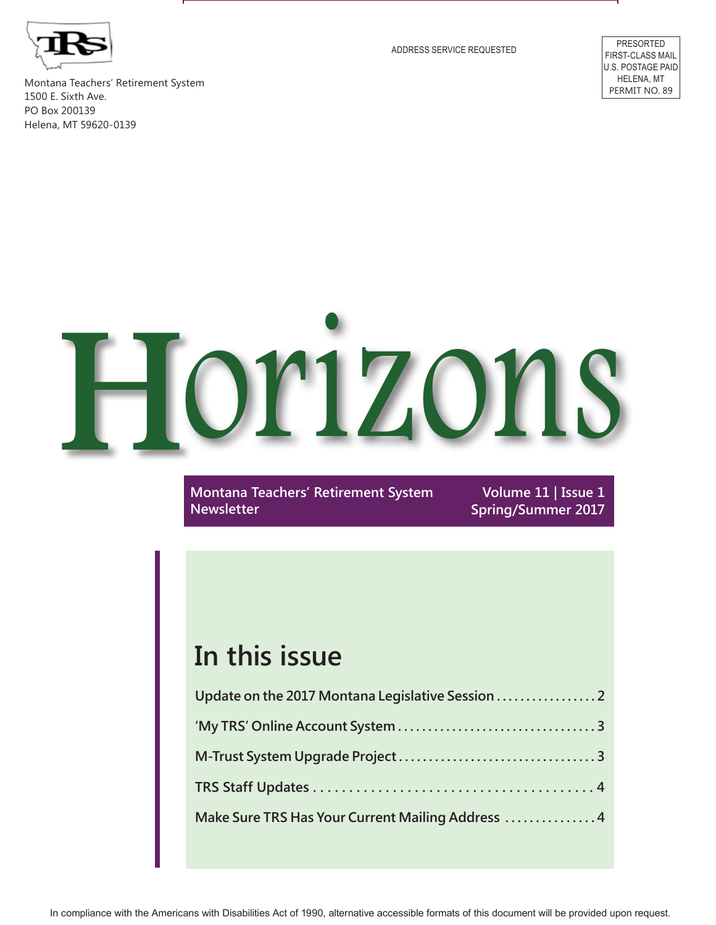

ADDRESS SERVICE REQUESTED PRESORTED

FIRST-CLASS MAIL U.S. POSTAGE PAID HELENA, MT PERMIT NO. 89

Montana Teachers' Retirement System 1500 E. Sixth Ave. PO Box 200139 Helena, MT 59620-0139

# Horizons

**Montana Teachers' Retirement System Newsletter**

**Volume 11 | Issue 1 Spring/Summer 2017**

# **In this issue**

| Update on the 2017 Montana Legislative Session    |
|---------------------------------------------------|
|                                                   |
|                                                   |
|                                                   |
| Make Sure TRS Has Your Current Mailing Address  4 |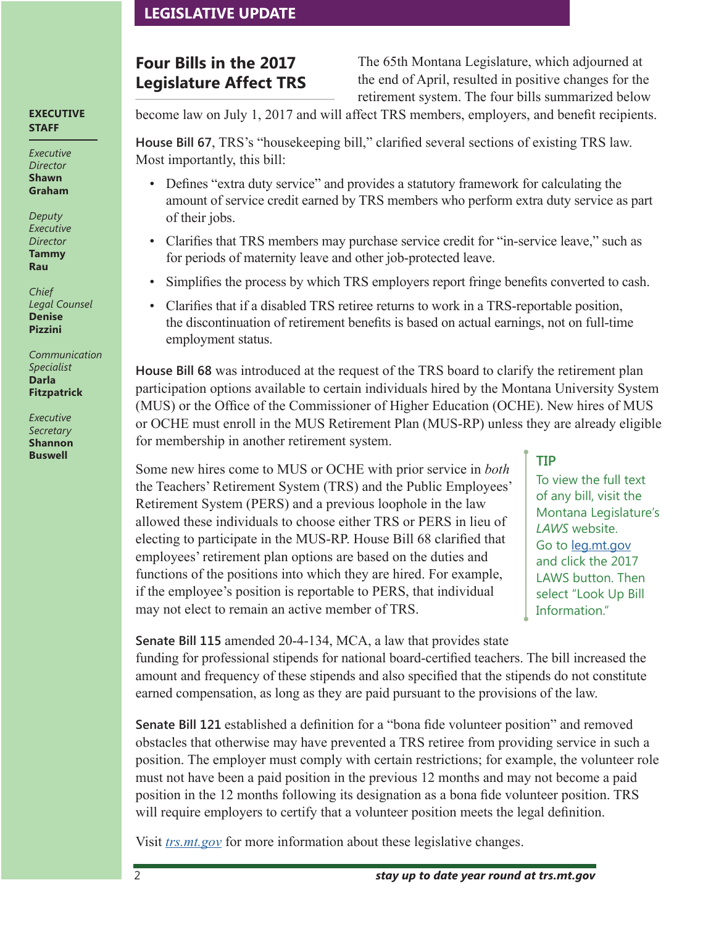### **LEGISLATIVE UPDATE**

## **Four Bills in the 2017 Legislature Affect TRS**

The 65th Montana Legislature, which adjourned at the end of April, resulted in positive changes for the retirement system. The four bills summarized below

**EXECUTIVE STAFF**

*Executive Director* **Shawn Graham**

*Deputy Executive Director* **Tammy Rau**

*Chief Legal Counsel* **Denise Pizzini**

*Communication Specialist* **Darla Fitzpatrick**

*Executive Secretary* **Shannon**  become law on July 1, 2017 and will affect TRS members, employers, and benefit recipients.

**House Bill 67**, TRS's "housekeeping bill," clarified several sections of existing TRS law. Most importantly, this bill:

- Defines "extra duty service" and provides a statutory framework for calculating the amount of service credit earned by TRS members who perform extra duty service as part of their jobs.
- Clarifies that TRS members may purchase service credit for "in-service leave," such as for periods of maternity leave and other job-protected leave.
- Simplifies the process by which TRS employers report fringe benefits converted to cash.
- Clarifies that if a disabled TRS retiree returns to work in a TRS-reportable position, the discontinuation of retirement benefits is based on actual earnings, not on full-time employment status.

**House Bill 68** was introduced at the request of the TRS board to clarify the retirement plan participation options available to certain individuals hired by the Montana University System (MUS) or the Office of the Commissioner of Higher Education (OCHE). New hires of MUS or OCHE must enroll in the MUS Retirement Plan (MUS-RP) unless they are already eligible for membership in another retirement system.

**EXECUTE:**<br>Some new hires come to MUS or OCHE with prior service in *both* the Teachers' Retirement System (TRS) and the Public Employees' Retirement System (PERS) and a previous loophole in the law allowed these individuals to choose either TRS or PERS in lieu of electing to participate in the MUS-RP. House Bill 68 clarified that employees' retirement plan options are based on the duties and functions of the positions into which they are hired. For example, if the employee's position is reportable to PERS, that individual may not elect to remain an active member of TRS.

To view the full text of any bill, visit the Montana Legislature's *LAWS* website. Go to [leg.mt.gov](http://leg.mt.gov) and click the 2017 LAWS button. Then select "Look Up Bill Information."

**Senate Bill 115** amended 20-4-134, MCA, a law that provides state

funding for professional stipends for national board-certified teachers. The bill increased the amount and frequency of these stipends and also specified that the stipends do not constitute earned compensation, as long as they are paid pursuant to the provisions of the law.

**Senate Bill 121** established a definition for a "bona fide volunteer position" and removed obstacles that otherwise may have prevented a TRS retiree from providing service in such a position. The employer must comply with certain restrictions; for example, the volunteer role must not have been a paid position in the previous 12 months and may not become a paid position in the 12 months following its designation as a bona fide volunteer position. TRS will require employers to certify that a volunteer position meets the legal definition.

Visit *[trs.mt.gov](https://trs.mt.gov)* for more information about these legislative changes.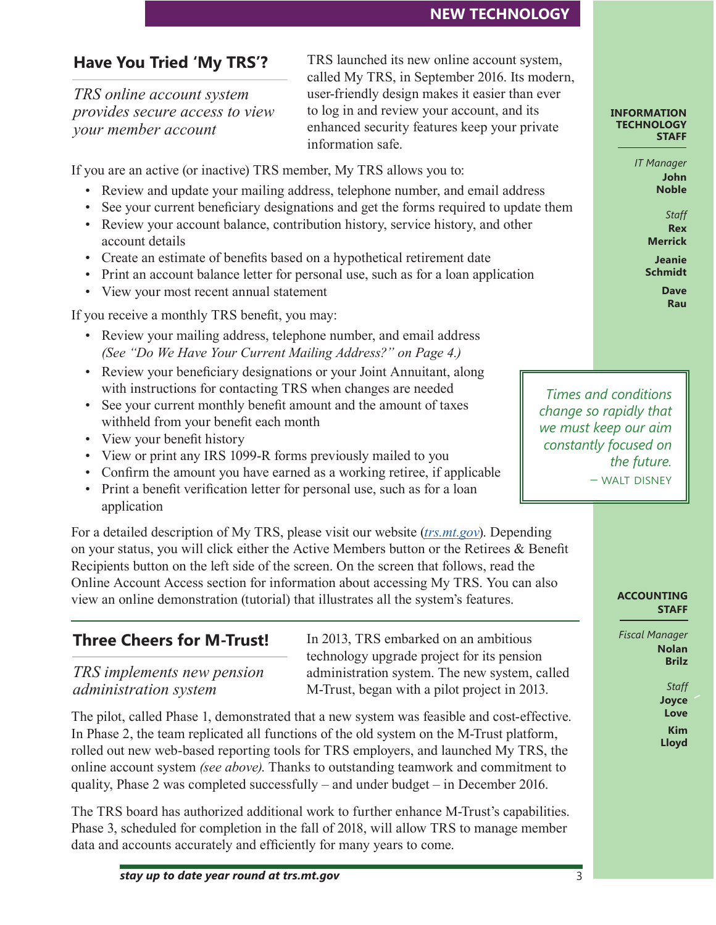### **Have You Tried 'My TRS'?**

*TRS online account system provides secure access to view your member account*

TRS launched its new online account system, called My TRS, in September 2016. Its modern, user-friendly design makes it easier than ever to log in and review your account, and its enhanced security features keep your private information safe.

If you are an active (or inactive) TRS member, My TRS allows you to:

- Review and update your mailing address, telephone number, and email address
- See your current beneficiary designations and get the forms required to update them
- Review your account balance, contribution history, service history, and other account details
- Create an estimate of benefits based on a hypothetical retirement date
- Print an account balance letter for personal use, such as for a loan application
- View your most recent annual statement

If you receive a monthly TRS benefit, you may:

- Review your mailing address, telephone number, and email address *(See "Do We Have Your Current Mailing Address?" on Page 4.)*
- Review your beneficiary designations or your Joint Annuitant, along with instructions for contacting TRS when changes are needed
- See your current monthly benefit amount and the amount of taxes withheld from your benefit each month
- View your benefit history
- View or print any IRS 1099-R forms previously mailed to you
- Confirm the amount you have earned as a working retiree, if applicable
- Print a benefit verification letter for personal use, such as for a loan application

For a detailed description of My TRS, please visit our website (*[trs.mt.gov](https://trs.mt.gov)*). Depending on your status, you will click either the Active Members button or the Retirees & Benefit Recipients button on the left side of the screen. On the screen that follows, read the Online Account Access section for information about accessing My TRS. You can also view an online demonstration (tutorial) that illustrates all the system's features.

## **Three Cheers for M-Trust!**

*TRS implements new pension administration system*

In 2013, TRS embarked on an ambitious technology upgrade project for its pension administration system. The new system, called M-Trust, began with a pilot project in 2013.

The pilot, called Phase 1, demonstrated that a new system was feasible and cost-effective. In Phase 2, the team replicated all functions of the old system on the M-Trust platform, rolled out new web-based reporting tools for TRS employers, and launched My TRS, the online account system *(see above)*. Thanks to outstanding teamwork and commitment to quality, Phase 2 was completed successfully – and under budget – in December 2016.

The TRS board has authorized additional work to further enhance M-Trust's capabilities. Phase 3, scheduled for completion in the fall of 2018, will allow TRS to manage member data and accounts accurately and efficiently for many years to come.

### **INFORMATION TECHNOLOGY STAFF**

*IT Manager* **John Noble**

> *Staff* **Rex Merrick**

**Jeanie Schmidt Dave Rau**

*Times and conditions change so rapidly that we must keep our aim constantly focused on the future.* – walt disney

### **ACCOUNTING STAFF**

*Fiscal Manager* **Nolan Brilz**

> *Staff* **Joyce Love Kim Lloyd**